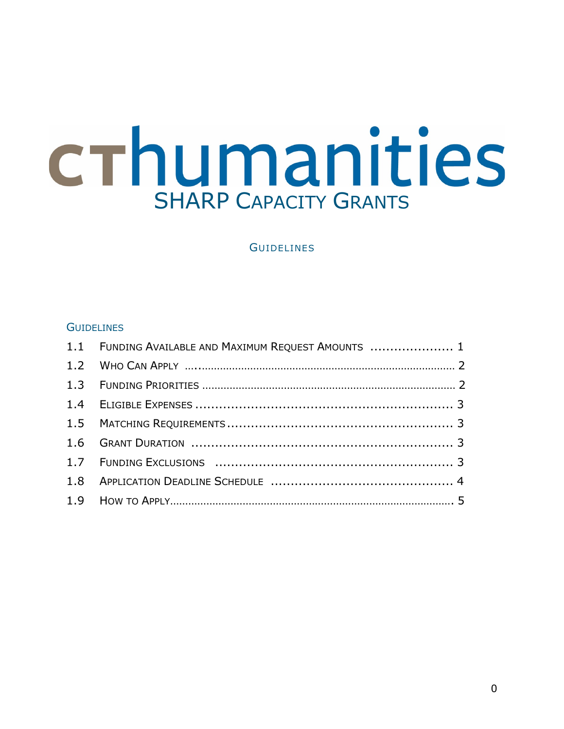# crhumanities SHARP CAPACITY GRANTS

### **GUIDELINES**

#### **GUIDELINES**

| 1.1 FUNDING AVAILABLE AND MAXIMUM REQUEST AMOUNTS  1 |  |
|------------------------------------------------------|--|
|                                                      |  |
|                                                      |  |
|                                                      |  |
|                                                      |  |
|                                                      |  |
|                                                      |  |
|                                                      |  |
|                                                      |  |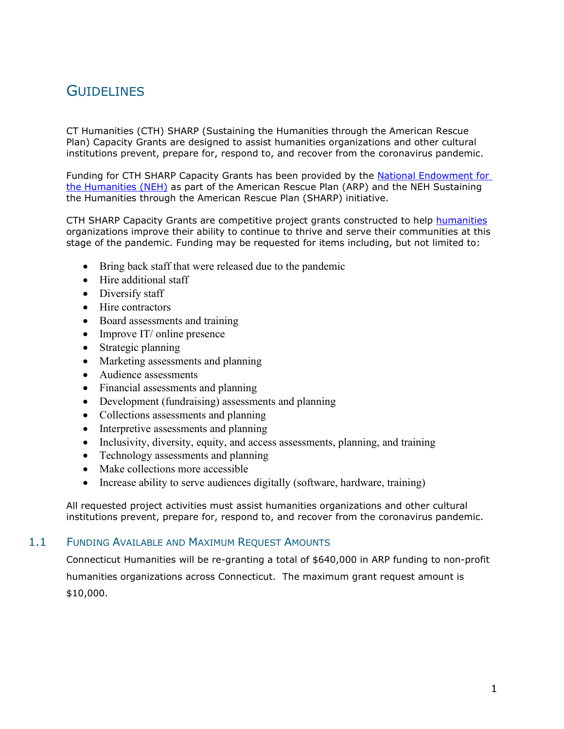# **GUIDELINES**

CT Humanities (CTH) SHARP (Sustaining the Humanities through the American Rescue Plan) Capacity Grants are designed to assist humanities organizations and other cultural institutions prevent, prepare for, respond to, and recover from the coronavirus pandemic.

Funding for CTH SHARP Capacity Grants has been provided by the [National Endowment for](http://neh.gov/)  [the Humanities \(NEH\)](http://neh.gov/) as part of the American Rescue Plan (ARP) and the NEH Sustaining the Humanities through the American Rescue Plan (SHARP) initiative.

CTH SHARP Capacity Grants are competitive project grants constructed to help [humanities](https://cthumanities.org/our-story/what-are-the-humanities/) organizations improve their ability to continue to thrive and serve their communities at this stage of the pandemic. Funding may be requested for items including, but not limited to:

- Bring back staff that were released due to the pandemic
- Hire additional staff
- Diversify staff
- Hire contractors
- Board assessments and training
- Improve IT/ online presence
- Strategic planning
- Marketing assessments and planning
- Audience assessments
- Financial assessments and planning
- Development (fundraising) assessments and planning
- Collections assessments and planning
- Interpretive assessments and planning
- Inclusivity, diversity, equity, and access assessments, planning, and training
- Technology assessments and planning
- Make collections more accessible
- Increase ability to serve audiences digitally (software, hardware, training)

All requested project activities must assist humanities organizations and other cultural institutions prevent, prepare for, respond to, and recover from the coronavirus pandemic.

#### 1.1 FUNDING AVAILABLE AND MAXIMUM REQUEST AMOUNTS

Connecticut Humanities will be re-granting a total of \$640,000 in ARP funding to non-profit humanities organizations across Connecticut. The maximum grant request amount is \$10,000.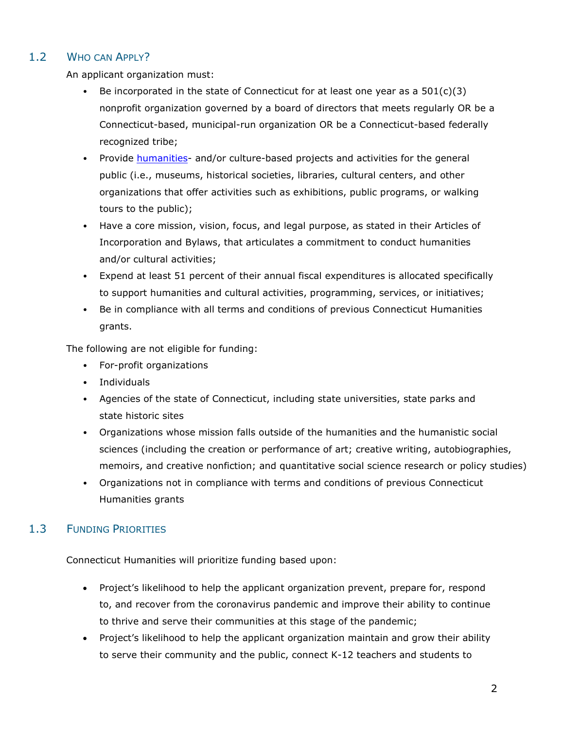# 1.2 WHO CAN APPLY?

An applicant organization must:

- Be incorporated in the state of Connecticut for at least one year as a  $501(c)(3)$ nonprofit organization governed by a board of directors that meets regularly OR be a Connecticut-based, municipal-run organization OR be a Connecticut-based federally recognized tribe;
- Provide [humanities-](https://cthumanities.org/our-story/what-are-the-humanities/) and/or culture-based projects and activities for the general public (i.e., museums, historical societies, libraries, cultural centers, and other organizations that offer activities such as exhibitions, public programs, or walking tours to the public);
- Have a core mission, vision, focus, and legal purpose, as stated in their Articles of Incorporation and Bylaws, that articulates a commitment to conduct humanities and/or cultural activities;
- Expend at least 51 percent of their annual fiscal expenditures is allocated specifically to support humanities and cultural activities, programming, services, or initiatives;
- Be in compliance with all terms and conditions of previous Connecticut Humanities grants.

The following are not eligible for funding:

- For-profit organizations
- Individuals
- Agencies of the state of Connecticut, including state universities, state parks and state historic sites
- Organizations whose mission falls outside of the humanities and the humanistic social sciences (including the creation or performance of art; creative writing, autobiographies, memoirs, and creative nonfiction; and quantitative social science research or policy studies)
- Organizations not in compliance with terms and conditions of previous Connecticut Humanities grants

# 1.3 FUNDING PRIORITIES

Connecticut Humanities will prioritize funding based upon:

- Project's likelihood to help the applicant organization prevent, prepare for, respond to, and recover from the coronavirus pandemic and improve their ability to continue to thrive and serve their communities at this stage of the pandemic;
- Project's likelihood to help the applicant organization maintain and grow their ability to serve their community and the public, connect K-12 teachers and students to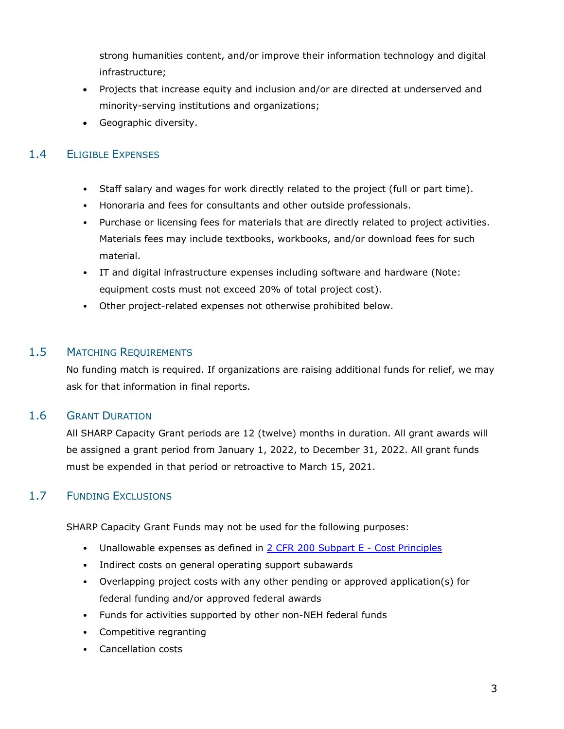strong humanities content, and/or improve their information technology and digital infrastructure;

- Projects that increase equity and inclusion and/or are directed at underserved and minority-serving institutions and organizations;
- Geographic diversity.

# 1.4 ELIGIBLE EXPENSES

- Staff salary and wages for work directly related to the project (full or part time).
- Honoraria and fees for consultants and other outside professionals.
- Purchase or licensing fees for materials that are directly related to project activities. Materials fees may include textbooks, workbooks, and/or download fees for such material.
- IT and digital infrastructure expenses including software and hardware (Note: equipment costs must not exceed 20% of total project cost).
- Other project-related expenses not otherwise prohibited below.

### 1.5 MATCHING REQUIREMENTS

No funding match is required. If organizations are raising additional funds for relief, we may ask for that information in final reports.

#### 1.6 GRANT DURATION

All SHARP Capacity Grant periods are 12 (twelve) months in duration. All grant awards will be assigned a grant period from January 1, 2022, to December 31, 2022. All grant funds must be expended in that period or retroactive to March 15, 2021.

# 1.7 FUNDING EXCLUSIONS

SHARP Capacity Grant Funds may not be used for the following purposes:

- Unallowable expenses as defined in [2 CFR 200 Subpart E -](https://www.ecfr.gov/current/title-2/subtitle-A/chapter-II/part-200#sp2.1.200.e) Cost Principles
- Indirect costs on general operating support subawards
- Overlapping project costs with any other pending or approved application(s) for federal funding and/or approved federal awards
- Funds for activities supported by other non-NEH federal funds
- Competitive regranting
- Cancellation costs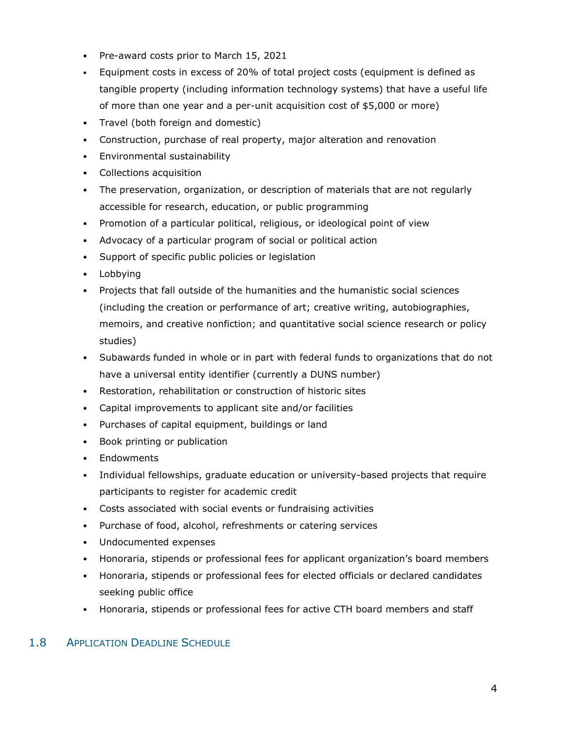- Pre-award costs prior to March 15, 2021
- Equipment costs in excess of 20% of total project costs (equipment is defined as tangible property (including information technology systems) that have a useful life of more than one year and a per-unit acquisition cost of \$5,000 or more)
- Travel (both foreign and domestic)
- Construction, purchase of real property, major alteration and renovation
- Environmental sustainability
- Collections acquisition
- The preservation, organization, or description of materials that are not regularly accessible for research, education, or public programming
- Promotion of a particular political, religious, or ideological point of view
- Advocacy of a particular program of social or political action
- Support of specific public policies or legislation
- Lobbying
- Projects that fall outside of the humanities and the humanistic social sciences (including the creation or performance of art; creative writing, autobiographies, memoirs, and creative nonfiction; and quantitative social science research or policy studies)
- Subawards funded in whole or in part with federal funds to organizations that do not have a universal entity identifier (currently a DUNS number)
- Restoration, rehabilitation or construction of historic sites
- Capital improvements to applicant site and/or facilities
- Purchases of capital equipment, buildings or land
- Book printing or publication
- Endowments
- Individual fellowships, graduate education or university-based projects that require participants to register for academic credit
- Costs associated with social events or fundraising activities
- Purchase of food, alcohol, refreshments or catering services
- Undocumented expenses
- Honoraria, stipends or professional fees for applicant organization's board members
- Honoraria, stipends or professional fees for elected officials or declared candidates seeking public office
- Honoraria, stipends or professional fees for active CTH board members and staff

#### 1.8 APPLICATION DEADLINE SCHEDULE